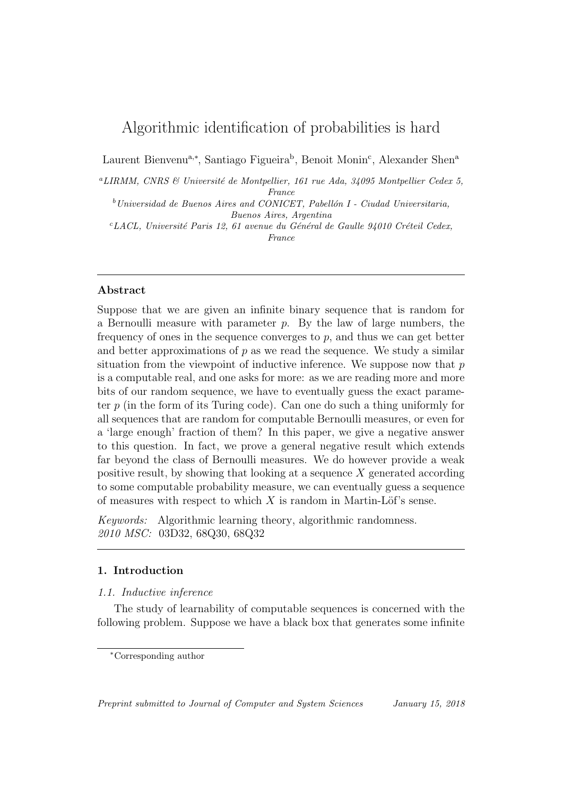# Algorithmic identification of probabilities is hard

Laurent Bienvenu<sup>a,∗</sup>, Santiago Figueira<sup>b</sup>, Benoit Monin<sup>c</sup>, Alexander Shen<sup>a</sup>

<sup>a</sup>LIRMM, CNRS & Université de Montpellier, 161 rue Ada, 34095 Montpellier Cedex 5, France

 $b$ Universidad de Buenos Aires and CONICET, Pabellón I - Ciudad Universitaria, Buenos Aires, Argentina

 $c_{LACL}$ , Université Paris 12, 61 avenue du Général de Gaulle 94010 Créteil Cedex, France

## Abstract

Suppose that we are given an infinite binary sequence that is random for a Bernoulli measure with parameter  $p$ . By the law of large numbers, the frequency of ones in the sequence converges to  $p$ , and thus we can get better and better approximations of  $p$  as we read the sequence. We study a similar situation from the viewpoint of inductive inference. We suppose now that  $p$ is a computable real, and one asks for more: as we are reading more and more bits of our random sequence, we have to eventually guess the exact parameter  $p$  (in the form of its Turing code). Can one do such a thing uniformly for all sequences that are random for computable Bernoulli measures, or even for a 'large enough' fraction of them? In this paper, we give a negative answer to this question. In fact, we prove a general negative result which extends far beyond the class of Bernoulli measures. We do however provide a weak positive result, by showing that looking at a sequence  $X$  generated according to some computable probability measure, we can eventually guess a sequence of measures with respect to which  $X$  is random in Martin-Löf's sense.

Keywords: Algorithmic learning theory, algorithmic randomness. 2010 MSC: 03D32, 68Q30, 68Q32

## 1. Introduction

### 1.1. Inductive inference

The study of learnability of computable sequences is concerned with the following problem. Suppose we have a black box that generates some infinite

<sup>∗</sup>Corresponding author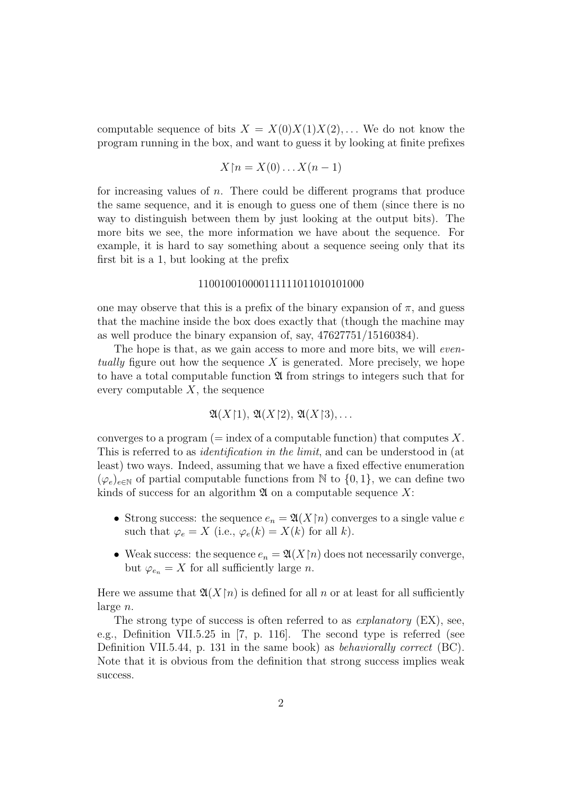computable sequence of bits  $X = X(0)X(1)X(2), \ldots$  We do not know the program running in the box, and want to guess it by looking at finite prefixes

$$
X\mathord{\restriction} n=X(0)\ldots X(n-1)
$$

for increasing values of  $n$ . There could be different programs that produce the same sequence, and it is enough to guess one of them (since there is no way to distinguish between them by just looking at the output bits). The more bits we see, the more information we have about the sequence. For example, it is hard to say something about a sequence seeing only that its first bit is a 1, but looking at the prefix

# 110010010000111111011010101000

one may observe that this is a prefix of the binary expansion of  $\pi$ , and guess that the machine inside the box does exactly that (though the machine may as well produce the binary expansion of, say, 47627751/15160384).

The hope is that, as we gain access to more and more bits, we will *even*tually figure out how the sequence X is generated. More precisely, we hope to have a total computable function  $\mathfrak A$  from strings to integers such that for every computable  $X$ , the sequence

$$
\mathfrak{A}(X\upharpoonright 1),\,\mathfrak{A}(X\upharpoonright 2),\,\mathfrak{A}(X\upharpoonright 3),\ldots
$$

converges to a program ( $=$  index of a computable function) that computes X. This is referred to as identification in the limit, and can be understood in (at least) two ways. Indeed, assuming that we have a fixed effective enumeration  $(\varphi_e)_{e \in \mathbb{N}}$  of partial computable functions from  $\mathbb N$  to  $\{0,1\}$ , we can define two kinds of success for an algorithm  $\mathfrak A$  on a computable sequence X:

- Strong success: the sequence  $e_n = \mathfrak{A}(X \mid n)$  converges to a single value e such that  $\varphi_e = X$  (i.e.,  $\varphi_e(k) = X(k)$  for all k).
- Weak success: the sequence  $e_n = \mathfrak{A}(X \restriction n)$  does not necessarily converge, but  $\varphi_{e_n} = X$  for all sufficiently large *n*.

Here we assume that  $\mathfrak{A}(X\upharpoonright n)$  is defined for all n or at least for all sufficiently large n.

The strong type of success is often referred to as *explanatory* (EX), see, e.g., Definition VII.5.25 in [7, p. 116]. The second type is referred (see Definition VII.5.44, p. 131 in the same book) as *behaviorally correct* (BC). Note that it is obvious from the definition that strong success implies weak success.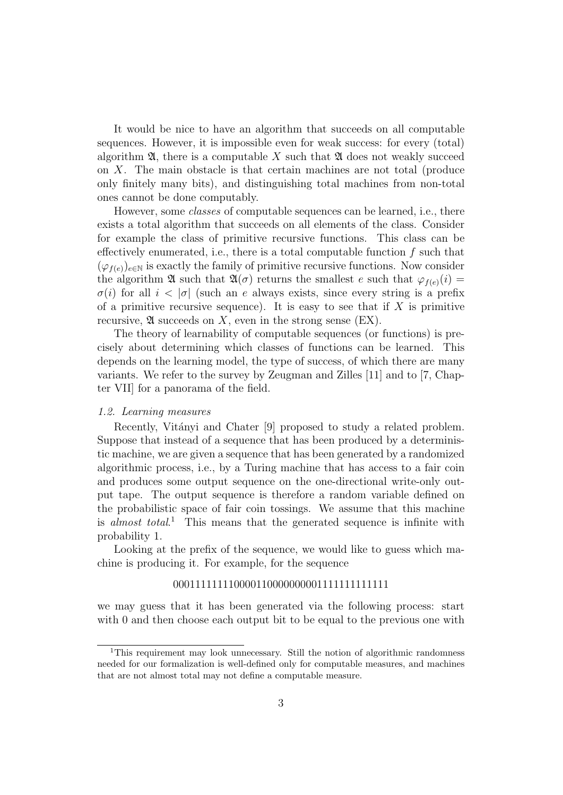It would be nice to have an algorithm that succeeds on all computable sequences. However, it is impossible even for weak success: for every (total) algorithm  $\mathfrak{A}$ , there is a computable X such that  $\mathfrak{A}$  does not weakly succeed on  $X$ . The main obstacle is that certain machines are not total (produce only finitely many bits), and distinguishing total machines from non-total ones cannot be done computably.

However, some classes of computable sequences can be learned, i.e., there exists a total algorithm that succeeds on all elements of the class. Consider for example the class of primitive recursive functions. This class can be effectively enumerated, i.e., there is a total computable function  $f$  such that  $(\varphi_{f(e)})_{e\in\mathbb{N}}$  is exactly the family of primitive recursive functions. Now consider the algorithm  $\mathfrak{A}$  such that  $\mathfrak{A}(\sigma)$  returns the smallest e such that  $\varphi_{f(e)}(i)$  $\sigma(i)$  for all  $i < |\sigma|$  (such an e always exists, since every string is a prefix of a primitive recursive sequence). It is easy to see that if  $X$  is primitive recursive,  $\mathfrak A$  succeeds on X, even in the strong sense (EX).

The theory of learnability of computable sequences (or functions) is precisely about determining which classes of functions can be learned. This depends on the learning model, the type of success, of which there are many variants. We refer to the survey by Zeugman and Zilles [11] and to [7, Chapter VII] for a panorama of the field.

#### 1.2. Learning measures

Recently, Vitányi and Chater [9] proposed to study a related problem. Suppose that instead of a sequence that has been produced by a deterministic machine, we are given a sequence that has been generated by a randomized algorithmic process, i.e., by a Turing machine that has access to a fair coin and produces some output sequence on the one-directional write-only output tape. The output sequence is therefore a random variable defined on the probabilistic space of fair coin tossings. We assume that this machine is almost total.<sup>1</sup> This means that the generated sequence is infinite with probability 1.

Looking at the prefix of the sequence, we would like to guess which machine is producing it. For example, for the sequence

### 000111111110000110000000001111111111111

we may guess that it has been generated via the following process: start with 0 and then choose each output bit to be equal to the previous one with

<sup>&</sup>lt;sup>1</sup>This requirement may look unnecessary. Still the notion of algorithmic randomness needed for our formalization is well-defined only for computable measures, and machines that are not almost total may not define a computable measure.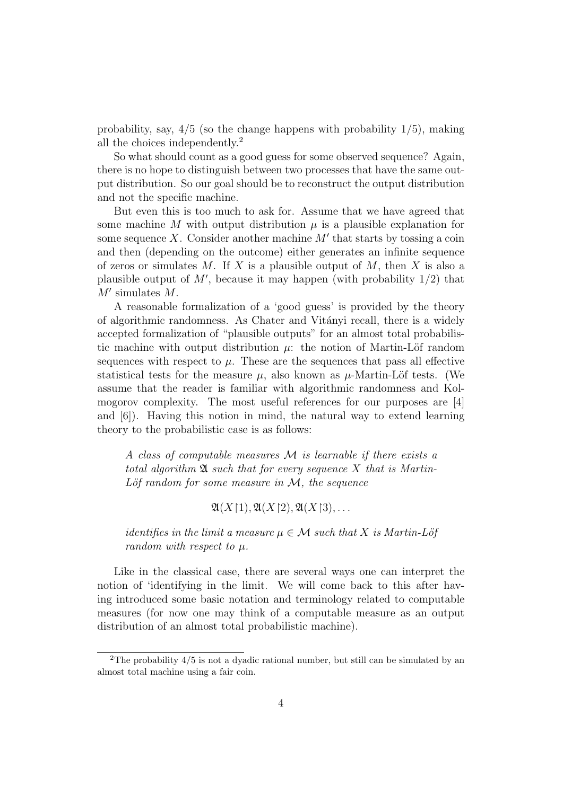probability, say,  $4/5$  (so the change happens with probability  $1/5$ ), making all the choices independently.<sup>2</sup>

So what should count as a good guess for some observed sequence? Again, there is no hope to distinguish between two processes that have the same output distribution. So our goal should be to reconstruct the output distribution and not the specific machine.

But even this is too much to ask for. Assume that we have agreed that some machine M with output distribution  $\mu$  is a plausible explanation for some sequence X. Consider another machine  $M'$  that starts by tossing a coin and then (depending on the outcome) either generates an infinite sequence of zeros or simulates M. If X is a plausible output of M, then X is also a plausible output of  $M'$ , because it may happen (with probability  $1/2$ ) that  $M'$  simulates  $M$ .

A reasonable formalization of a 'good guess' is provided by the theory of algorithmic randomness. As Chater and Vit´anyi recall, there is a widely accepted formalization of "plausible outputs" for an almost total probabilistic machine with output distribution  $\mu$ : the notion of Martin-Löf random sequences with respect to  $\mu$ . These are the sequences that pass all effective statistical tests for the measure  $\mu$ , also known as  $\mu$ -Martin-Löf tests. (We assume that the reader is familiar with algorithmic randomness and Kolmogorov complexity. The most useful references for our purposes are [4] and [6]). Having this notion in mind, the natural way to extend learning theory to the probabilistic case is as follows:

A class of computable measures  $\mathcal M$  is learnable if there exists a total algorithm  $\mathfrak A$  such that for every sequence X that is Martin-Löf random for some measure in  $\mathcal{M}$ , the sequence

 $\mathfrak{A}(X\upharpoonright 1), \mathfrak{A}(X\upharpoonright 2), \mathfrak{A}(X\upharpoonright 3), \ldots$ 

*identifies in the limit a measure*  $\mu \in \mathcal{M}$  such that X is Martin-Löf random with respect to  $\mu$ .

Like in the classical case, there are several ways one can interpret the notion of 'identifying in the limit. We will come back to this after having introduced some basic notation and terminology related to computable measures (for now one may think of a computable measure as an output distribution of an almost total probabilistic machine).

<sup>&</sup>lt;sup>2</sup>The probability  $4/5$  is not a dyadic rational number, but still can be simulated by an almost total machine using a fair coin.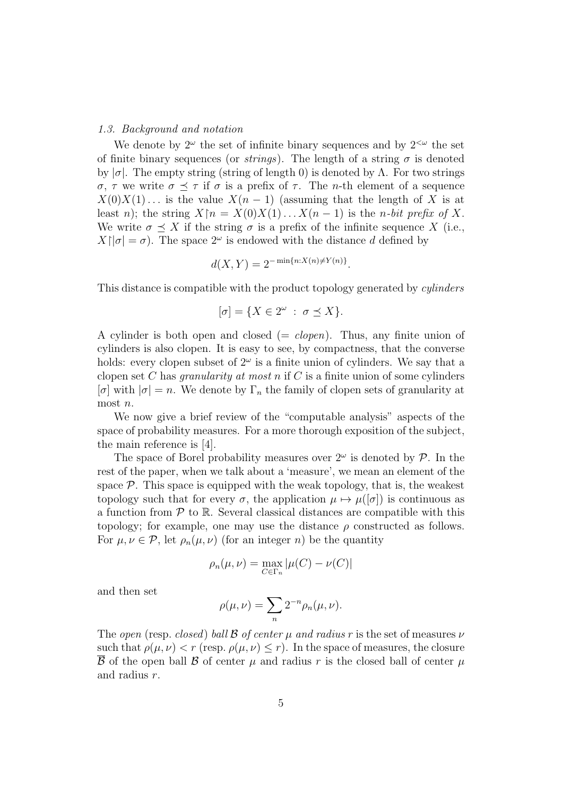#### 1.3. Background and notation

We denote by  $2^{\omega}$  the set of infinite binary sequences and by  $2^{<\omega}$  the set of finite binary sequences (or *strings*). The length of a string  $\sigma$  is denoted by  $|\sigma|$ . The empty string (string of length 0) is denoted by  $\Lambda$ . For two strings σ, τ we write  $\sigma \preceq \tau$  if σ is a prefix of τ. The n-th element of a sequence  $X(0)X(1)$ ... is the value  $X(n-1)$  (assuming that the length of X is at least n); the string  $X\upharpoonright n = X(0)X(1)...X(n-1)$  is the n-bit prefix of X. We write  $\sigma \prec X$  if the string  $\sigma$  is a prefix of the infinite sequence X (i.e.,  $X[\sigma] = \sigma$ ). The space  $2^{\omega}$  is endowed with the distance d defined by

$$
d(X, Y) = 2^{-\min\{n: X(n) \neq Y(n)\}}.
$$

This distance is compatible with the product topology generated by *cylinders* 

$$
[\sigma] = \{ X \in 2^{\omega} \; : \; \sigma \preceq X \}.
$$

A cylinder is both open and closed  $(= clopen)$ . Thus, any finite union of cylinders is also clopen. It is easy to see, by compactness, that the converse holds: every clopen subset of  $2^{\omega}$  is a finite union of cylinders. We say that a clopen set C has *granularity at most n* if C is a finite union of some cylinders  $[\sigma]$  with  $|\sigma|=n$ . We denote by  $\Gamma_n$  the family of clopen sets of granularity at most *n*.

We now give a brief review of the "computable analysis" aspects of the space of probability measures. For a more thorough exposition of the subject, the main reference is [4].

The space of Borel probability measures over  $2^{\omega}$  is denoted by  $\mathcal{P}$ . In the rest of the paper, when we talk about a 'measure', we mean an element of the space  $P$ . This space is equipped with the weak topology, that is, the weakest topology such that for every  $\sigma$ , the application  $\mu \mapsto \mu([\sigma])$  is continuous as a function from  $\mathcal P$  to  $\mathbb R$ . Several classical distances are compatible with this topology; for example, one may use the distance  $\rho$  constructed as follows. For  $\mu, \nu \in \mathcal{P}$ , let  $\rho_n(\mu, \nu)$  (for an integer n) be the quantity

$$
\rho_n(\mu,\nu) = \max_{C \in \Gamma_n} |\mu(C) - \nu(C)|
$$

and then set

$$
\rho(\mu,\nu) = \sum_{n} 2^{-n} \rho_n(\mu,\nu).
$$

The open (resp. closed) ball B of center  $\mu$  and radius r is the set of measures  $\nu$ such that  $\rho(\mu, \nu) < r$  (resp.  $\rho(\mu, \nu) \leq r$ ). In the space of measures, the closure B of the open ball B of center  $\mu$  and radius r is the closed ball of center  $\mu$ and radius r.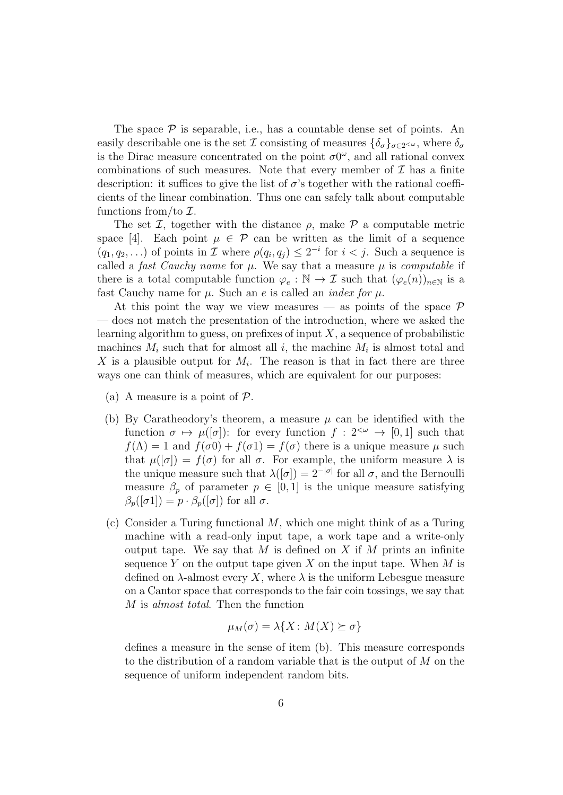The space  $P$  is separable, i.e., has a countable dense set of points. An easily describable one is the set I consisting of measures  $\{\delta_{\sigma}\}_{{\sigma}\in 2^{<\omega}}$ , where  $\delta_{\sigma}$ is the Dirac measure concentrated on the point  $\sigma 0^{\omega}$ , and all rational convex combinations of such measures. Note that every member of  $\mathcal I$  has a finite description: it suffices to give the list of  $\sigma$ 's together with the rational coefficients of the linear combination. Thus one can safely talk about computable functions from/to  $\mathcal{I}.$ 

The set  $\mathcal{I}$ , together with the distance  $\rho$ , make  $\mathcal{P}$  a computable metric space [4]. Each point  $\mu \in \mathcal{P}$  can be written as the limit of a sequence  $(q_1, q_2,...)$  of points in  $\mathcal I$  where  $\rho(q_i, q_j) \leq 2^{-i}$  for  $i < j$ . Such a sequence is called a fast Cauchy name for  $\mu$ . We say that a measure  $\mu$  is computable if there is a total computable function  $\varphi_e : \mathbb{N} \to \mathcal{I}$  such that  $(\varphi_e(n))_{n \in \mathbb{N}}$  is a fast Cauchy name for  $\mu$ . Such an e is called an *index for*  $\mu$ .

At this point the way we view measures — as points of the space  $\mathcal P$ — does not match the presentation of the introduction, where we asked the learning algorithm to guess, on prefixes of input  $X$ , a sequence of probabilistic machines  $M_i$  such that for almost all i, the machine  $M_i$  is almost total and X is a plausible output for  $M_i$ . The reason is that in fact there are three ways one can think of measures, which are equivalent for our purposes:

- (a) A measure is a point of  $P$ .
- (b) By Caratheodory's theorem, a measure  $\mu$  can be identified with the function  $\sigma \mapsto \mu([\sigma])$ : for every function  $f : 2^{< \omega} \to [0, 1]$  such that  $f(\Lambda) = 1$  and  $f(\sigma \Lambda) + f(\sigma \Lambda) = f(\sigma)$  there is a unique measure  $\mu$  such that  $\mu([\sigma]) = f(\sigma)$  for all  $\sigma$ . For example, the uniform measure  $\lambda$  is the unique measure such that  $\lambda([\sigma]) = 2^{-|\sigma|}$  for all  $\sigma$ , and the Bernoulli measure  $\beta_p$  of parameter  $p \in [0,1]$  is the unique measure satisfying  $\beta_p([\sigma 1]) = p \cdot \beta_p([\sigma])$  for all  $\sigma$ .
- (c) Consider a Turing functional  $M$ , which one might think of as a Turing machine with a read-only input tape, a work tape and a write-only output tape. We say that M is defined on X if M prints an infinite sequence Y on the output tape given X on the input tape. When  $M$  is defined on  $\lambda$ -almost every X, where  $\lambda$  is the uniform Lebesgue measure on a Cantor space that corresponds to the fair coin tossings, we say that M is almost total. Then the function

$$
\mu_M(\sigma) = \lambda \{ X \colon M(X) \succeq \sigma \}
$$

defines a measure in the sense of item (b). This measure corresponds to the distribution of a random variable that is the output of M on the sequence of uniform independent random bits.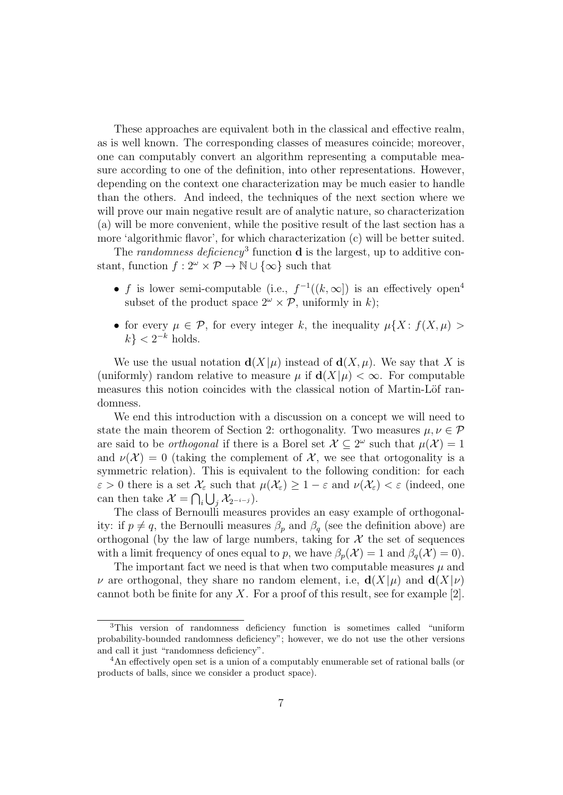These approaches are equivalent both in the classical and effective realm, as is well known. The corresponding classes of measures coincide; moreover, one can computably convert an algorithm representing a computable measure according to one of the definition, into other representations. However, depending on the context one characterization may be much easier to handle than the others. And indeed, the techniques of the next section where we will prove our main negative result are of analytic nature, so characterization (a) will be more convenient, while the positive result of the last section has a more 'algorithmic flavor', for which characterization (c) will be better suited.

The randomness deficiency<sup>3</sup> function  $\bf d$  is the largest, up to additive constant, function  $f: 2^{\omega} \times \mathcal{P} \to \mathbb{N} \cup {\infty}$  such that

- f is lower semi-computable (i.e.,  $f^{-1}((k,\infty))$  is an effectively open<sup>4</sup> subset of the product space  $2^{\omega} \times \mathcal{P}$ , uniformly in k);
- for every  $\mu \in \mathcal{P}$ , for every integer k, the inequality  $\mu\{X: f(X,\mu) >$  $k$ } < 2<sup>-k</sup> holds.

We use the usual notation  $d(X|\mu)$  instead of  $d(X,\mu)$ . We say that X is (uniformly) random relative to measure  $\mu$  if  $\mathbf{d}(X|\mu) < \infty$ . For computable measures this notion coincides with the classical notion of Martin-Löf randomness.

We end this introduction with a discussion on a concept we will need to state the main theorem of Section 2: orthogonality. Two measures  $\mu, \nu \in \mathcal{P}$ are said to be *orthogonal* if there is a Borel set  $\mathcal{X} \subseteq 2^{\omega}$  such that  $\mu(\mathcal{X}) = 1$ and  $\nu(\mathcal{X}) = 0$  (taking the complement of  $\mathcal{X}$ , we see that ortogonality is a symmetric relation). This is equivalent to the following condition: for each  $\varepsilon > 0$  there is a set  $\mathcal{X}_{\varepsilon}$  such that  $\mu(\mathcal{X}_{\varepsilon}) \geq 1 - \varepsilon$  and  $\nu(\mathcal{X}_{\varepsilon}) < \varepsilon$  (indeed, one can then take  $\mathcal{X} = \bigcap_i \bigcup_j \mathcal{X}_{2^{-i-j}}$ .

The class of Bernoulli measures provides an easy example of orthogonality: if  $p \neq q$ , the Bernoulli measures  $\beta_p$  and  $\beta_q$  (see the definition above) are orthogonal (by the law of large numbers, taking for  $\mathcal X$  the set of sequences with a limit frequency of ones equal to p, we have  $\beta_n(\mathcal{X}) = 1$  and  $\beta_n(\mathcal{X}) = 0$ .

The important fact we need is that when two computable measures  $\mu$  and  $\nu$  are orthogonal, they share no random element, i.e,  $\mathbf{d}(X|\mu)$  and  $\mathbf{d}(X|\nu)$ cannot both be finite for any X. For a proof of this result, see for example [2].

<sup>3</sup>This version of randomness deficiency function is sometimes called "uniform probability-bounded randomness deficiency"; however, we do not use the other versions and call it just "randomness deficiency".

<sup>4</sup>An effectively open set is a union of a computably enumerable set of rational balls (or products of balls, since we consider a product space).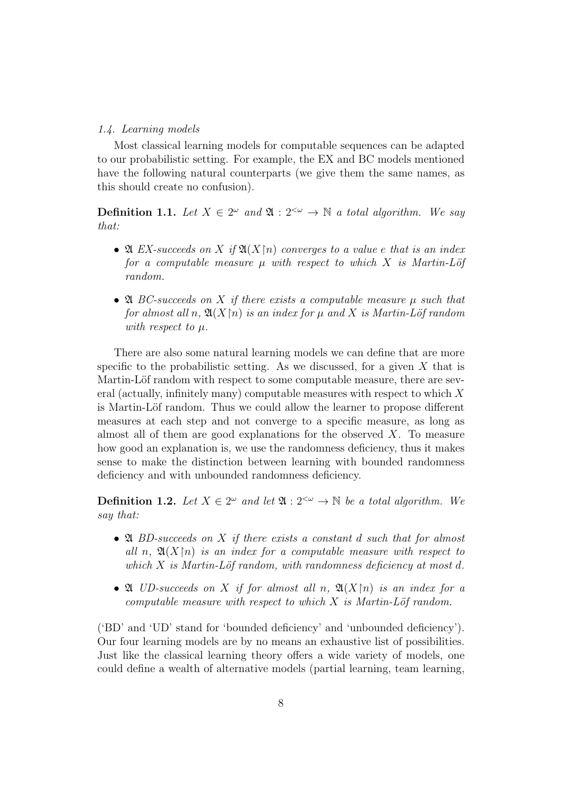#### 1.4. Learning models

Most classical learning models for computable sequences can be adapted to our probabilistic setting. For example, the EX and BC models mentioned have the following natural counterparts (we give them the same names, as this should create no confusion).

**Definition 1.1.** Let  $X \in 2^{\omega}$  and  $\mathfrak{A} : 2^{<\omega} \to \mathbb{N}$  a total algorithm. We say that:

- $\mathfrak A$  EX-succeeds on X if  $\mathfrak A(X\mathfrak h)$  converges to a value e that is an index for a computable measure  $\mu$  with respect to which X is Martin-Löf random.
- $\mathfrak A$  BC-succeeds on X if there exists a computable measure  $\mu$  such that for almost all n,  $\mathfrak{A}(X\mathfrak{p})$  is an index for  $\mu$  and X is Martin-Löf random with respect to  $\mu$ .

There are also some natural learning models we can define that are more specific to the probabilistic setting. As we discussed, for a given  $X$  that is Martin-Löf random with respect to some computable measure, there are several (actually, infinitely many) computable measures with respect to which X is Martin-Löf random. Thus we could allow the learner to propose different measures at each step and not converge to a specific measure, as long as almost all of them are good explanations for the observed  $X$ . To measure how good an explanation is, we use the randomness deficiency, thus it makes sense to make the distinction between learning with bounded randomness deficiency and with unbounded randomness deficiency.

**Definition 1.2.** Let  $X \in 2^{\omega}$  and let  $\mathfrak{A}: 2^{\omega} \to \mathbb{N}$  be a total algorithm. We say that:

- $\mathfrak A$  BD-succeeds on X if there exists a constant d such that for almost all n,  $\mathfrak{A}(X\vert n)$  is an index for a computable measure with respect to which  $X$  is Martin-Löf random, with randomness deficiency at most d.
- $\mathfrak A$  UD-succeeds on X if for almost all n,  $\mathfrak A(X\mathfrak [n])$  is an index for a computable measure with respect to which  $X$  is Martin-Löf random.

('BD' and 'UD' stand for 'bounded deficiency' and 'unbounded deficiency'). Our four learning models are by no means an exhaustive list of possibilities. Just like the classical learning theory offers a wide variety of models, one could define a wealth of alternative models (partial learning, team learning,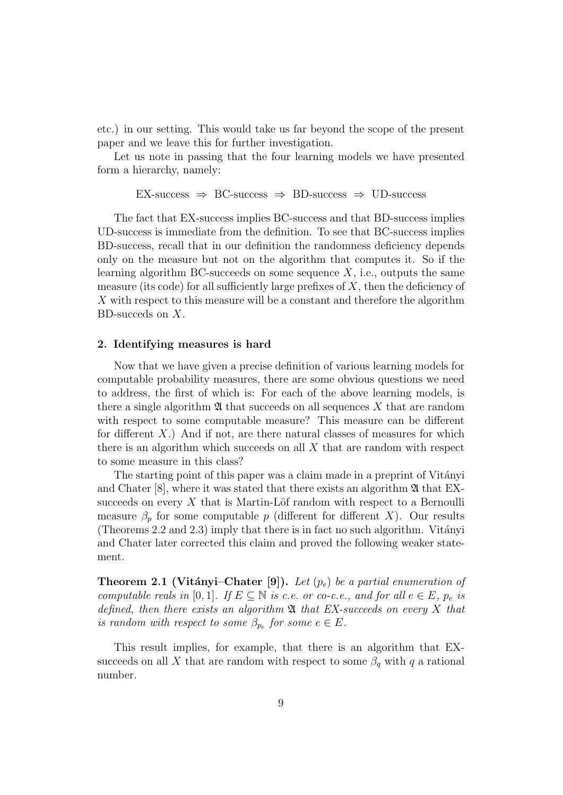etc.) in our setting. This would take us far beyond the scope of the present paper and we leave this for further investigation.

Let us note in passing that the four learning models we have presented form a hierarchy, namely:

$$
EX\text{-success} \Rightarrow BC\text{-success} \Rightarrow BD\text{-success} \Rightarrow UD\text{-success}
$$

The fact that EX-success implies BC-success and that BD-success implies UD-success is immediate from the definition. To see that BC-success implies BD-success, recall that in our definition the randomness deficiency depends only on the measure but not on the algorithm that computes it. So if the learning algorithm BC-succeeds on some sequence  $X$ , i.e., outputs the same measure (its code) for all sufficiently large prefixes of  $X$ , then the deficiency of  $X$  with respect to this measure will be a constant and therefore the algorithm BD-succeds on X.

#### 2. Identifying measures is hard

Now that we have given a precise definition of various learning models for computable probability measures, there are some obvious questions we need to address, the first of which is: For each of the above learning models, is there a single algorithm  $\mathfrak A$  that succeeds on all sequences X that are random with respect to some computable measure? This measure can be different for different  $X$ .) And if not, are there natural classes of measures for which there is an algorithm which succeeds on all  $X$  that are random with respect to some measure in this class?

The starting point of this paper was a claim made in a preprint of Vitányi and Chater  $[8]$ , where it was stated that there exists an algorithm  $\mathfrak{A}$  that EXsucceeds on every  $X$  that is Martin-Löf random with respect to a Bernoulli measure  $\beta_p$  for some computable p (different for different X). Our results (Theorems 2.2 and 2.3) imply that there is in fact no such algorithm. Vitányi and Chater later corrected this claim and proved the following weaker statement.

Theorem 2.1 (Vitányi–Chater [9]). Let  $(p_e)$  be a partial enumeration of computable reals in [0, 1]. If  $E \subseteq \mathbb{N}$  is c.e. or co-c.e., and for all  $e \in E$ ,  $p_e$  is defined, then there exists an algorithm  $\mathfrak A$  that EX-succeeds on every X that is random with respect to some  $\beta_{p_e}$  for some  $e \in E$ .

This result implies, for example, that there is an algorithm that EXsucceeds on all X that are random with respect to some  $\beta_q$  with q a rational number.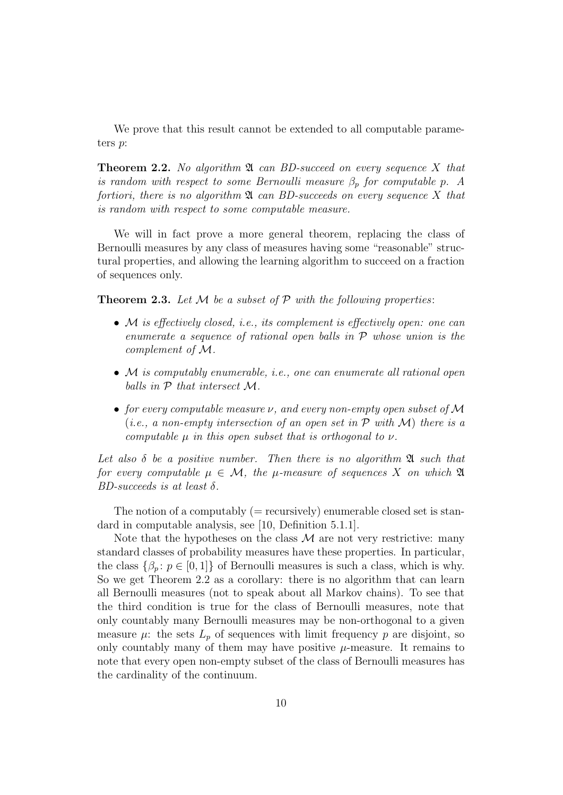We prove that this result cannot be extended to all computable parameters p:

**Theorem 2.2.** No algorithm  $\mathfrak{A}$  can BD-succeed on every sequence X that is random with respect to some Bernoulli measure  $\beta_p$  for computable p. A fortiori, there is no algorithm  $\mathfrak{A}$  can BD-succeeds on every sequence X that is random with respect to some computable measure.

We will in fact prove a more general theorem, replacing the class of Bernoulli measures by any class of measures having some "reasonable" structural properties, and allowing the learning algorithm to succeed on a fraction of sequences only.

**Theorem 2.3.** Let  $M$  be a subset of  $P$  with the following properties:

- M is effectively closed, i.e., its complement is effectively open: one can enumerate a sequence of rational open balls in P whose union is the complement of M.
- M is computably enumerable, i.e., one can enumerate all rational open balls in P that intersect M.
- for every computable measure  $\nu$ , and every non-empty open subset of M (*i.e.*, a non-empty intersection of an open set in  $P$  with  $M$ ) there is a computable  $\mu$  in this open subset that is orthogonal to  $\nu$ .

Let also  $\delta$  be a positive number. Then there is no algorithm  $\mathfrak A$  such that for every computable  $\mu \in \mathcal{M}$ , the  $\mu$ -measure of sequences X on which  $\mathfrak A$ BD-succeeds is at least  $\delta$ .

The notion of a computably  $(=$  recursively) enumerable closed set is standard in computable analysis, see [10, Definition 5.1.1].

Note that the hypotheses on the class  $\mathcal M$  are not very restrictive: many standard classes of probability measures have these properties. In particular, the class  $\{\beta_p : p \in [0,1]\}$  of Bernoulli measures is such a class, which is why. So we get Theorem 2.2 as a corollary: there is no algorithm that can learn all Bernoulli measures (not to speak about all Markov chains). To see that the third condition is true for the class of Bernoulli measures, note that only countably many Bernoulli measures may be non-orthogonal to a given measure  $\mu$ : the sets  $L_p$  of sequences with limit frequency p are disjoint, so only countably many of them may have positive  $\mu$ -measure. It remains to note that every open non-empty subset of the class of Bernoulli measures has the cardinality of the continuum.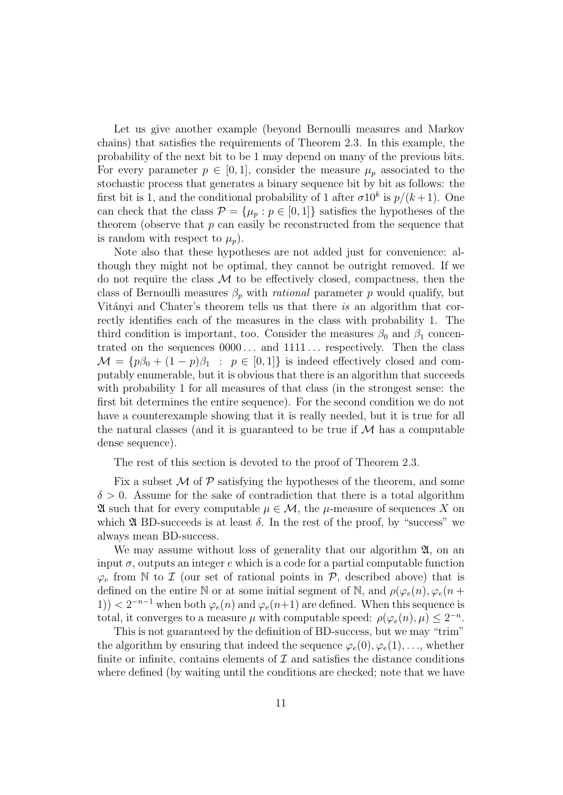Let us give another example (beyond Bernoulli measures and Markov chains) that satisfies the requirements of Theorem 2.3. In this example, the probability of the next bit to be 1 may depend on many of the previous bits. For every parameter  $p \in [0,1]$ , consider the measure  $\mu_p$  associated to the stochastic process that generates a binary sequence bit by bit as follows: the first bit is 1, and the conditional probability of 1 after  $\sigma 10^k$  is  $p/(k+1)$ . One can check that the class  $\mathcal{P} = {\mu_p : p \in [0,1]}$  satisfies the hypotheses of the theorem (observe that  $p$  can easily be reconstructed from the sequence that is random with respect to  $\mu_n$ ).

Note also that these hypotheses are not added just for convenience: although they might not be optimal, they cannot be outright removed. If we do not require the class  $\mathcal M$  to be effectively closed, compactness, then the class of Bernoulli measures  $\beta_p$  with *rational* parameter p would qualify, but Vitányi and Chater's theorem tells us that there is an algorithm that correctly identifies each of the measures in the class with probability 1. The third condition is important, too. Consider the measures  $\beta_0$  and  $\beta_1$  concentrated on the sequences  $0000...$  and  $1111...$  respectively. Then the class  $\mathcal{M} = \{p\beta_0 + (1-p)\beta_1 : p \in [0,1]\}\$ is indeed effectively closed and computably enumerable, but it is obvious that there is an algorithm that succeeds with probability 1 for all measures of that class (in the strongest sense: the first bit determines the entire sequence). For the second condition we do not have a counterexample showing that it is really needed, but it is true for all the natural classes (and it is guaranteed to be true if  $\mathcal M$  has a computable dense sequence).

The rest of this section is devoted to the proof of Theorem 2.3.

Fix a subset  $\mathcal M$  of  $\mathcal P$  satisfying the hypotheses of the theorem, and some  $\delta > 0$ . Assume for the sake of contradiction that there is a total algorithm  $\mathfrak A$  such that for every computable  $\mu \in \mathcal M$ , the  $\mu$ -measure of sequences X on which  $\mathfrak A$  BD-succeeds is at least  $\delta$ . In the rest of the proof, by "success" we always mean BD-success.

We may assume without loss of generality that our algorithm  $\mathfrak{A}$ , on an input  $\sigma$ , outputs an integer e which is a code for a partial computable function  $\varphi_e$  from N to *I* (our set of rational points in *P*, described above) that is defined on the entire N or at some initial segment of N, and  $\rho(\varphi_e(n), \varphi_e(n+\varphi_e(n)))$ 1))  $\langle 2^{-n-1}$  when both  $\varphi_e(n)$  and  $\varphi_e(n+1)$  are defined. When this sequence is total, it converges to a measure  $\mu$  with computable speed:  $\rho(\varphi_e(n), \mu) \leq 2^{-n}$ .

This is not guaranteed by the definition of BD-success, but we may "trim" the algorithm by ensuring that indeed the sequence  $\varphi_e(0), \varphi_e(1), \ldots$ , whether finite or infinite, contains elements of  $\mathcal I$  and satisfies the distance conditions where defined (by waiting until the conditions are checked; note that we have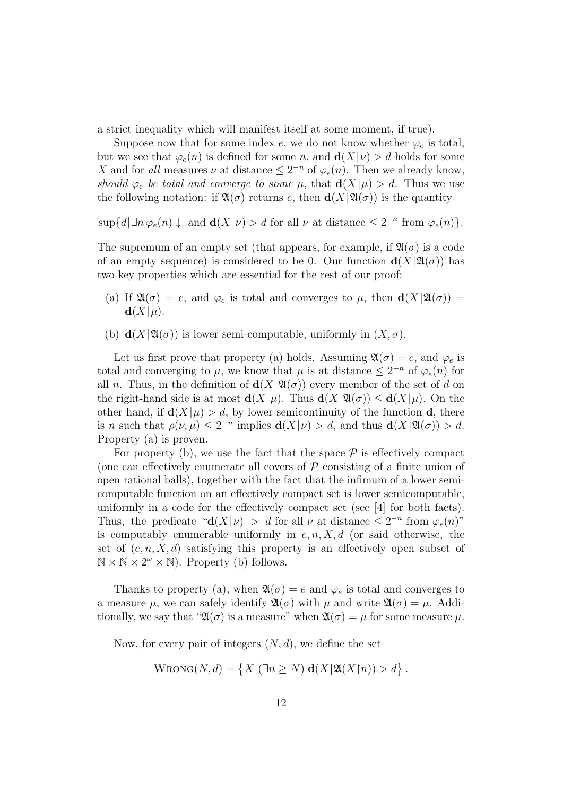a strict inequality which will manifest itself at some moment, if true).

Suppose now that for some index e, we do not know whether  $\varphi_e$  is total, but we see that  $\varphi_e(n)$  is defined for some n, and  $\mathbf{d}(X|\nu) > d$  holds for some X and for all measures  $\nu$  at distance  $\leq 2^{-n}$  of  $\varphi_e(n)$ . Then we already know, should  $\varphi_e$  be total and converge to some  $\mu$ , that  $\mathbf{d}(X|\mu) > d$ . Thus we use the following notation: if  $\mathfrak{A}(\sigma)$  returns e, then  $\mathbf{d}(X|\mathfrak{A}(\sigma))$  is the quantity

 $\sup\{d|\exists n \,\varphi_e(n)\downarrow\}$  and  $\mathbf{d}(X|\nu) > d$  for all  $\nu$  at distance  $\leq 2^{-n}$  from  $\varphi_e(n)\}.$ 

The supremum of an empty set (that appears, for example, if  $\mathfrak{A}(\sigma)$  is a code of an empty sequence) is considered to be 0. Our function  $d(X|\mathfrak{A}(\sigma))$  has two key properties which are essential for the rest of our proof:

- (a) If  $\mathfrak{A}(\sigma) = e$ , and  $\varphi_e$  is total and converges to  $\mu$ , then  $\mathbf{d}(X|\mathfrak{A}(\sigma)) =$  $\mathbf{d}(X|\mu)$ .
- (b)  $\mathbf{d}(X|\mathfrak{A}(\sigma))$  is lower semi-computable, uniformly in  $(X,\sigma)$ .

Let us first prove that property (a) holds. Assuming  $\mathfrak{A}(\sigma) = e$ , and  $\varphi_e$  is total and converging to  $\mu$ , we know that  $\mu$  is at distance  $\leq 2^{-n}$  of  $\varphi_e(n)$  for all n. Thus, in the definition of  $d(X|\mathfrak{A}(\sigma))$  every member of the set of d on the right-hand side is at most  $d(X|\mu)$ . Thus  $d(X|\mathfrak{A}(\sigma)) \leq d(X|\mu)$ . On the other hand, if  $\mathbf{d}(X|\mu) > d$ , by lower semicontinuity of the function d, there is *n* such that  $\rho(\nu,\mu) \leq 2^{-n}$  implies  $d(X|\nu) > d$ , and thus  $d(X|\mathfrak{A}(\sigma)) > d$ . Property (a) is proven.

For property (b), we use the fact that the space  $P$  is effectively compact (one can effectively enumerate all covers of  $P$  consisting of a finite union of open rational balls), together with the fact that the infimum of a lower semicomputable function on an effectively compact set is lower semicomputable, uniformly in a code for the effectively compact set (see [4] for both facts). Thus, the predicate " $d(X|\nu) > d$  for all  $\nu$  at distance  $\leq 2^{-n}$  from  $\varphi_e(n)$ " is computably enumerable uniformly in  $e, n, X, d$  (or said otherwise, the set of  $(e, n, X, d)$  satisfying this property is an effectively open subset of  $\mathbb{N} \times \mathbb{N} \times 2^{\omega} \times \mathbb{N}$ . Property (b) follows.

Thanks to property (a), when  $\mathfrak{A}(\sigma) = e$  and  $\varphi_e$  is total and converges to a measure  $\mu$ , we can safely identify  $\mathfrak{A}(\sigma)$  with  $\mu$  and write  $\mathfrak{A}(\sigma) = \mu$ . Additionally, we say that " $\mathfrak{A}(\sigma)$  is a measure" when  $\mathfrak{A}(\sigma) = \mu$  for some measure  $\mu$ .

Now, for every pair of integers  $(N, d)$ , we define the set

$$
\text{WRONG}(N, d) = \left\{ X \middle| (\exists n \geq N) \mathbf{d}(X | \mathfrak{A}(X \mathbf{m})) > d \right\}.
$$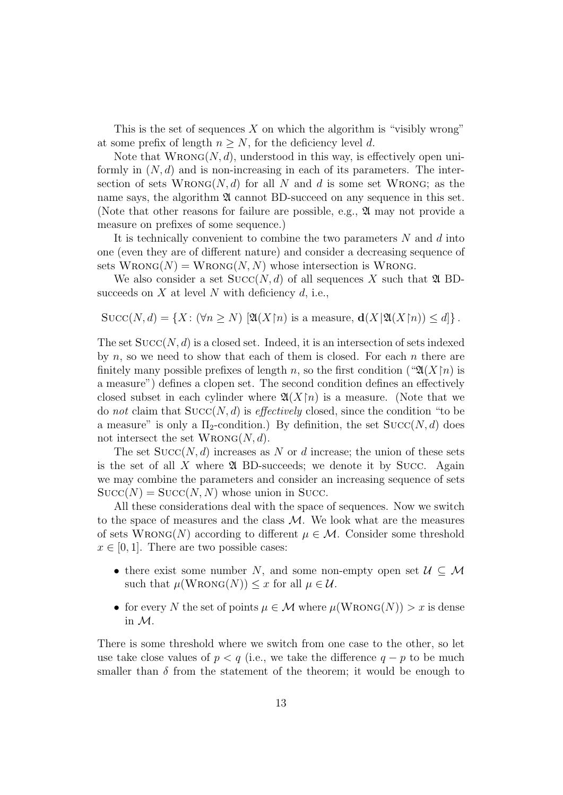This is the set of sequences X on which the algorithm is "visibly wrong" at some prefix of length  $n \geq N$ , for the deficiency level d.

Note that  $WRONG(N, d)$ , understood in this way, is effectively open uniformly in  $(N, d)$  and is non-increasing in each of its parameters. The intersection of sets  $WRONG(N, d)$  for all N and d is some set WRONG; as the name says, the algorithm  $\mathfrak A$  cannot BD-succeed on any sequence in this set. (Note that other reasons for failure are possible, e.g., A may not provide a measure on prefixes of some sequence.)

It is technically convenient to combine the two parameters  $N$  and  $d$  into one (even they are of different nature) and consider a decreasing sequence of sets  $W_{\text{RONG}}(N) = W_{\text{RONG}}(N, N)$  whose intersection is WRONG.

We also consider a set  $Succ(N, d)$  of all sequences X such that  $\mathfrak{A}$  BDsucceeds on  $X$  at level  $N$  with deficiency  $d$ , i.e.,

$$
Succ(N, d) = \{ X : (\forall n \ge N) \ [\mathfrak{A}(X \upharpoonright n) \text{ is a measure, } \mathbf{d}(X \vert \mathfrak{A}(X \vert n)) \le d \}.
$$

The set  $Succ(N, d)$  is a closed set. Indeed, it is an intersection of sets indexed by  $n$ , so we need to show that each of them is closed. For each  $n$  there are finitely many possible prefixes of length n, so the first condition (" $\mathfrak{A}(X\upharpoonright n)$  is a measure") defines a clopen set. The second condition defines an effectively closed subset in each cylinder where  $\mathfrak{A}(X\mathfrak{f}_n)$  is a measure. (Note that we do not claim that  $Succ(N, d)$  is *effectively* closed, since the condition "to be a measure" is only a  $\Pi_2$ -condition.) By definition, the set  $Succ(N, d)$  does not intersect the set  $WRONG(N, d)$ .

The set  $Succ(N, d)$  increases as N or d increase; the union of these sets is the set of all X where  $\mathfrak A$  BD-succeeds; we denote it by Succ. Again we may combine the parameters and consider an increasing sequence of sets  $Succ(N) = Succ(N, N)$  whose union in Succ.

All these considerations deal with the space of sequences. Now we switch to the space of measures and the class  $M$ . We look what are the measures of sets  $WRONG(N)$  according to different  $\mu \in \mathcal{M}$ . Consider some threshold  $x \in [0, 1]$ . There are two possible cases:

- there exist some number N, and some non-empty open set  $\mathcal{U} \subseteq \mathcal{M}$ such that  $\mu(\text{WRONG}(N)) \leq x$  for all  $\mu \in \mathcal{U}$ .
- for every N the set of points  $\mu \in \mathcal{M}$  where  $\mu(\text{WRONG}(N)) > x$  is dense in M.

There is some threshold where we switch from one case to the other, so let use take close values of  $p < q$  (i.e., we take the difference  $q - p$  to be much smaller than  $\delta$  from the statement of the theorem; it would be enough to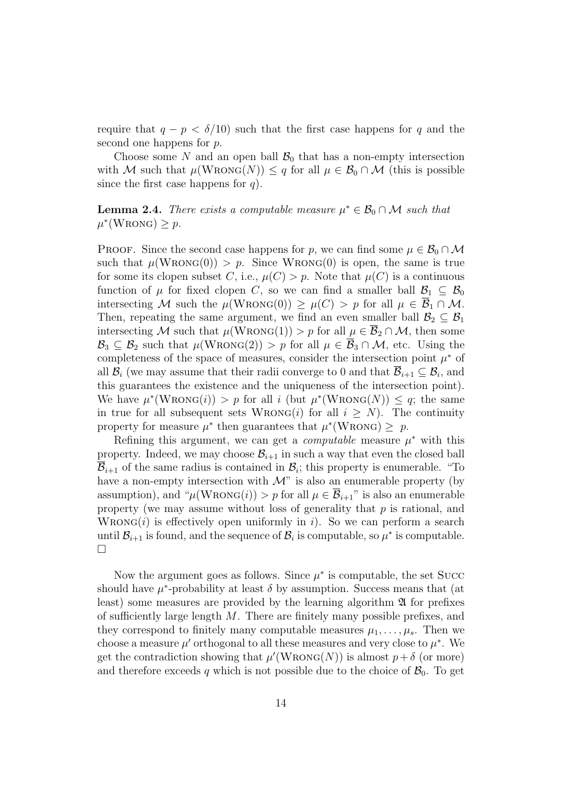require that  $q - p < \delta/10$  such that the first case happens for q and the second one happens for  $p$ .

Choose some N and an open ball  $\mathcal{B}_0$  that has a non-empty intersection with M such that  $\mu(\text{WRONG}(N)) \leq q$  for all  $\mu \in \mathcal{B}_0 \cap \mathcal{M}$  (this is possible since the first case happens for  $q$ ).

**Lemma 2.4.** There exists a computable measure  $\mu^* \in \mathcal{B}_0 \cap \mathcal{M}$  such that  $\mu^*(\text{WRONG}) \geq p.$ 

PROOF. Since the second case happens for p, we can find some  $\mu \in \mathcal{B}_0 \cap \mathcal{M}$ such that  $\mu(\text{WRONG}(0)) > p$ . Since  $\text{WRONG}(0)$  is open, the same is true for some its clopen subset C, i.e.,  $\mu(C) > p$ . Note that  $\mu(C)$  is a continuous function of  $\mu$  for fixed clopen C, so we can find a smaller ball  $\mathcal{B}_1 \subseteq \mathcal{B}_0$ intersecting M such the  $\mu(\text{WRONG}(0)) \geq \mu(C) > p$  for all  $\mu \in \overline{\mathcal{B}}_1 \cap \mathcal{M}$ . Then, repeating the same argument, we find an even smaller ball  $\mathcal{B}_2 \subseteq \mathcal{B}_1$ intersecting M such that  $\mu(\text{WRONG}(1)) > p$  for all  $\mu \in \overline{\mathcal{B}}_2 \cap \mathcal{M}$ , then some  $\mathcal{B}_3 \subseteq \mathcal{B}_2$  such that  $\mu(\text{WRONG}(2)) > p$  for all  $\mu \in \overline{\mathcal{B}}_3 \cap \mathcal{M}$ , etc. Using the completeness of the space of measures, consider the intersection point  $\mu^*$  of all  $\mathcal{B}_i$  (we may assume that their radii converge to 0 and that  $\mathcal{B}_{i+1} \subseteq \mathcal{B}_i$ , and this guarantees the existence and the uniqueness of the intersection point). We have  $\mu^*(W_{\text{RONG}}(i)) > p$  for all i (but  $\mu^*(W_{\text{RONG}}(N)) \leq q$ ; the same in true for all subsequent sets  $WRONG(i)$  for all  $i \geq N$ ). The continuity property for measure  $\mu^*$  then guarantees that  $\mu^*(WRONG) \geq p$ .

Refining this argument, we can get a *computable* measure  $\mu^*$  with this property. Indeed, we may choose  $\mathcal{B}_{i+1}$  in such a way that even the closed ball  $\overline{\mathcal{B}}_{i+1}$  of the same radius is contained in  $\mathcal{B}_i$ ; this property is enumerable. "To have a non-empty intersection with  $\mathcal{M}$ " is also an enumerable property (by assumption), and " $\mu(\text{WRONG}(i)) > p$  for all  $\mu \in \overline{\mathcal{B}}_{i+1}$ " is also an enumerable property (we may assume without loss of generality that  $p$  is rational, and  $W_{\text{RONG}}(i)$  is effectively open uniformly in i). So we can perform a search until  $\mathcal{B}_{i+1}$  is found, and the sequence of  $\mathcal{B}_i$  is computable, so  $\mu^*$  is computable.  $\Box$ 

Now the argument goes as follows. Since  $\mu^*$  is computable, the set Succ should have  $\mu^*$ -probability at least  $\delta$  by assumption. Success means that (at least) some measures are provided by the learning algorithm  $\mathfrak A$  for prefixes of sufficiently large length  $M$ . There are finitely many possible prefixes, and they correspond to finitely many computable measures  $\mu_1, \ldots, \mu_s$ . Then we choose a measure  $\mu'$  orthogonal to all these measures and very close to  $\mu^*$ . We get the contradiction showing that  $\mu'(\text{WRONG}(N))$  is almost  $p + \delta$  (or more) and therefore exceeds q which is not possible due to the choice of  $\mathcal{B}_0$ . To get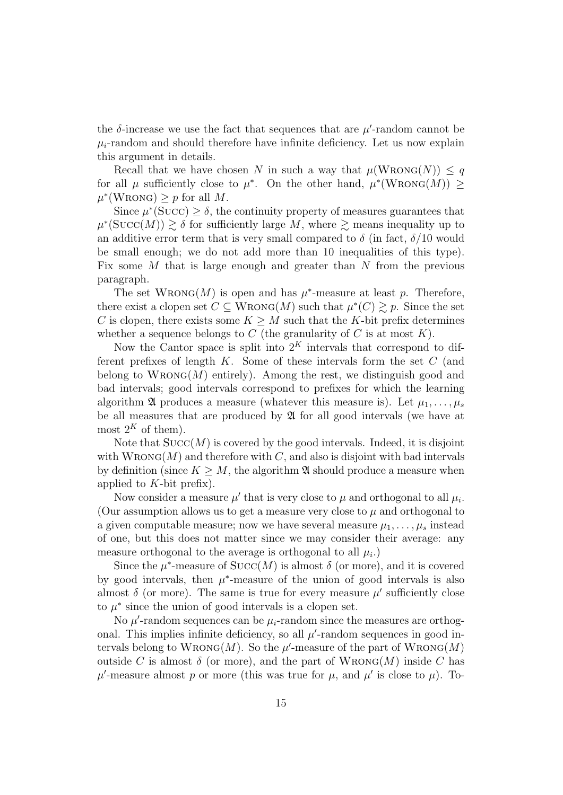the  $\delta$ -increase we use the fact that sequences that are  $\mu'$ -random cannot be  $\mu_i$ -random and should therefore have infinite deficiency. Let us now explain this argument in details.

Recall that we have chosen N in such a way that  $\mu(\text{WRONG}(N)) \leq q$ for all  $\mu$  sufficiently close to  $\mu^*$ . On the other hand,  $\mu^*(\text{WRONG}(M)) \geq$  $\mu^*(\text{WRONG}) \geq p \text{ for all } M.$ 

Since  $\mu^*(\text{Succ}) \geq \delta$ , the continuity property of measures guarantees that  $\mu^*(Succ(M)) \gtrsim \delta$  for sufficiently large M, where  $\gtrsim$  means inequality up to an additive error term that is very small compared to  $\delta$  (in fact,  $\delta/10$  would be small enough; we do not add more than 10 inequalities of this type). Fix some  $M$  that is large enough and greater than  $N$  from the previous paragraph.

The set  $WRONG(M)$  is open and has  $\mu^*$ -measure at least p. Therefore, there exist a clopen set  $C \subseteq W_{\text{RONG}}(M)$  such that  $\mu^*(C) \gtrsim p$ . Since the set C is clopen, there exists some  $K \geq M$  such that the K-bit prefix determines whether a sequence belongs to  $C$  (the granularity of  $C$  is at most  $K$ ).

Now the Cantor space is split into  $2^K$  intervals that correspond to different prefixes of length  $K$ . Some of these intervals form the set  $C$  (and belong to  $W_{\text{RONG}}(M)$  entirely). Among the rest, we distinguish good and bad intervals; good intervals correspond to prefixes for which the learning algorithm 24 produces a measure (whatever this measure is). Let  $\mu_1, \ldots, \mu_s$ be all measures that are produced by  $\mathfrak A$  for all good intervals (we have at most  $2^K$  of them).

Note that  $Succ(M)$  is covered by the good intervals. Indeed, it is disjoint with  $WRONG(M)$  and therefore with C, and also is disjoint with bad intervals by definition (since  $K \geq M$ , the algorithm  $\mathfrak{A}$  should produce a measure when applied to  $K$ -bit prefix).

Now consider a measure  $\mu'$  that is very close to  $\mu$  and orthogonal to all  $\mu_i$ . (Our assumption allows us to get a measure very close to  $\mu$  and orthogonal to a given computable measure; now we have several measure  $\mu_1, \ldots, \mu_s$  instead of one, but this does not matter since we may consider their average: any measure orthogonal to the average is orthogonal to all  $\mu_i$ .)

Since the  $\mu^*$ -measure of  $Succ(M)$  is almost  $\delta$  (or more), and it is covered by good intervals, then  $\mu^*$ -measure of the union of good intervals is also almost  $\delta$  (or more). The same is true for every measure  $\mu'$  sufficiently close to  $\mu^*$  since the union of good intervals is a clopen set.

No  $\mu'$ -random sequences can be  $\mu_i$ -random since the measures are orthogonal. This implies infinite deficiency, so all  $\mu'$ -random sequences in good intervals belong to  $W_{\text{RONG}}(M)$ . So the  $\mu'$ -measure of the part of  $W_{\text{RONG}}(M)$ outside C is almost  $\delta$  (or more), and the part of WRONG(M) inside C has  $\mu'$ -measure almost p or more (this was true for  $\mu$ , and  $\mu'$  is close to  $\mu$ ). To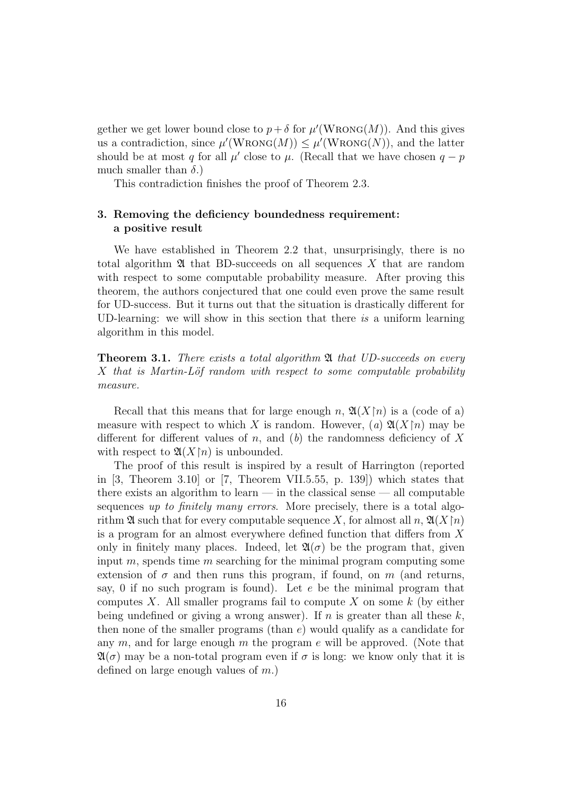gether we get lower bound close to  $p + \delta$  for  $\mu'(\text{WRONG}(M))$ . And this gives us a contradiction, since  $\mu'(\text{WRONG}(M)) \leq \mu'(\text{WRONG}(N))$ , and the latter should be at most q for all  $\mu'$  close to  $\mu$ . (Recall that we have chosen  $q - p$ much smaller than  $\delta$ .)

This contradiction finishes the proof of Theorem 2.3.

# 3. Removing the deficiency boundedness requirement: a positive result

We have established in Theorem 2.2 that, unsurprisingly, there is no total algorithm  $\mathfrak A$  that BD-succeeds on all sequences X that are random with respect to some computable probability measure. After proving this theorem, the authors conjectured that one could even prove the same result for UD-success. But it turns out that the situation is drastically different for UD-learning: we will show in this section that there is a uniform learning algorithm in this model.

**Theorem 3.1.** There exists a total algorithm  $\mathfrak{A}$  that UD-succeeds on every  $X$  that is Martin-Löf random with respect to some computable probability measure.

Recall that this means that for large enough n,  $\mathfrak{A}(X\vert n)$  is a (code of a) measure with respect to which X is random. However, (a)  $\mathfrak{A}(X\mathfrak{p})$  may be different for different values of n, and  $(b)$  the randomness deficiency of X with respect to  $\mathfrak{A}(X\mathfrak{f}n)$  is unbounded.

The proof of this result is inspired by a result of Harrington (reported in  $[3,$  Theorem 3.10 or  $[7,$  Theorem VII.5.55, p. 139) which states that there exists an algorithm to learn  $-$  in the classical sense  $-$  all computable sequences up to finitely many errors. More precisely, there is a total algorithm  $\mathfrak A$  such that for every computable sequence X, for almost all n,  $\mathfrak A(X\mathfrak f n)$ is a program for an almost everywhere defined function that differs from X only in finitely many places. Indeed, let  $\mathfrak{A}(\sigma)$  be the program that, given input  $m$ , spends time  $m$  searching for the minimal program computing some extension of  $\sigma$  and then runs this program, if found, on m (and returns, say, 0 if no such program is found). Let  $e$  be the minimal program that computes X. All smaller programs fail to compute X on some  $k$  (by either being undefined or giving a wrong answer). If  $n$  is greater than all these  $k$ , then none of the smaller programs (than  $e$ ) would qualify as a candidate for any  $m$ , and for large enough  $m$  the program  $e$  will be approved. (Note that  $\mathfrak{A}(\sigma)$  may be a non-total program even if  $\sigma$  is long: we know only that it is defined on large enough values of  $m$ .)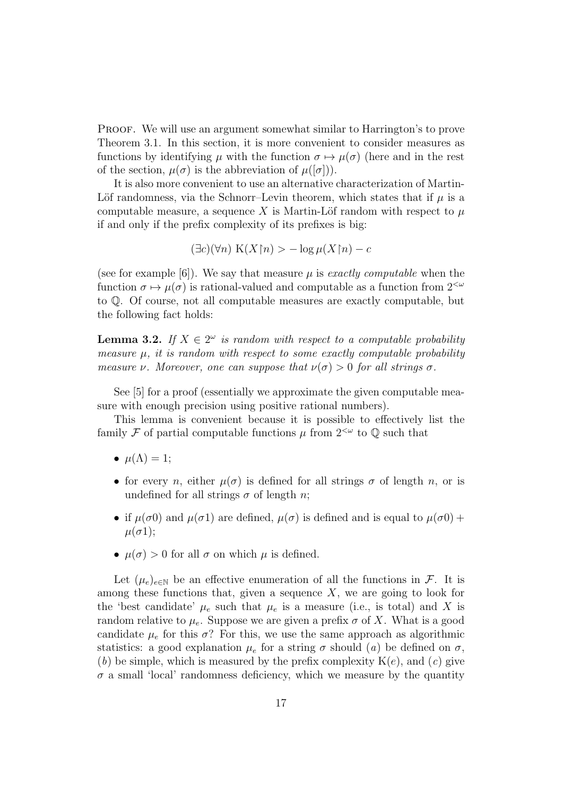PROOF. We will use an argument somewhat similar to Harrington's to prove Theorem 3.1. In this section, it is more convenient to consider measures as functions by identifying  $\mu$  with the function  $\sigma \mapsto \mu(\sigma)$  (here and in the rest of the section,  $\mu(\sigma)$  is the abbreviation of  $\mu([\sigma]))$ .

It is also more convenient to use an alternative characterization of Martin-Löf randomness, via the Schnorr–Levin theorem, which states that if  $\mu$  is a computable measure, a sequence X is Martin-Löf random with respect to  $\mu$ if and only if the prefix complexity of its prefixes is big:

 $(\exists c)(\forall n) K(X\upharpoonright n) > -\log \mu(X\upharpoonright n) - c$ 

(see for example [6]). We say that measure  $\mu$  is exactly computable when the function  $\sigma \mapsto \mu(\sigma)$  is rational-valued and computable as a function from  $2^{<\omega}$ to Q. Of course, not all computable measures are exactly computable, but the following fact holds:

**Lemma 3.2.** If  $X \in 2^{\omega}$  is random with respect to a computable probability measure  $\mu$ , it is random with respect to some exactly computable probability measure *ν*. Moreover, one can suppose that  $\nu(\sigma) > 0$  for all strings  $\sigma$ .

See [5] for a proof (essentially we approximate the given computable measure with enough precision using positive rational numbers).

This lemma is convenient because it is possible to effectively list the family F of partial computable functions  $\mu$  from  $2^{&\omega}$  to  $\mathbb Q$  such that

- $\mu(\Lambda) = 1$ ;
- for every n, either  $\mu(\sigma)$  is defined for all strings  $\sigma$  of length n, or is undefined for all strings  $\sigma$  of length *n*;
- if  $\mu(\sigma)$  and  $\mu(\sigma)$  are defined,  $\mu(\sigma)$  is defined and is equal to  $\mu(\sigma)$  +  $\mu(\sigma 1);$
- $\mu(\sigma) > 0$  for all  $\sigma$  on which  $\mu$  is defined.

Let  $(\mu_e)_{e \in \mathbb{N}}$  be an effective enumeration of all the functions in F. It is among these functions that, given a sequence  $X$ , we are going to look for the 'best candidate'  $\mu_e$  such that  $\mu_e$  is a measure (i.e., is total) and X is random relative to  $\mu_e$ . Suppose we are given a prefix  $\sigma$  of X. What is a good candidate  $\mu_e$  for this  $\sigma$ ? For this, we use the same approach as algorithmic statistics: a good explanation  $\mu_e$  for a string  $\sigma$  should (a) be defined on  $\sigma$ , (b) be simple, which is measured by the prefix complexity  $K(e)$ , and  $(c)$  give  $\sigma$  a small 'local' randomness deficiency, which we measure by the quantity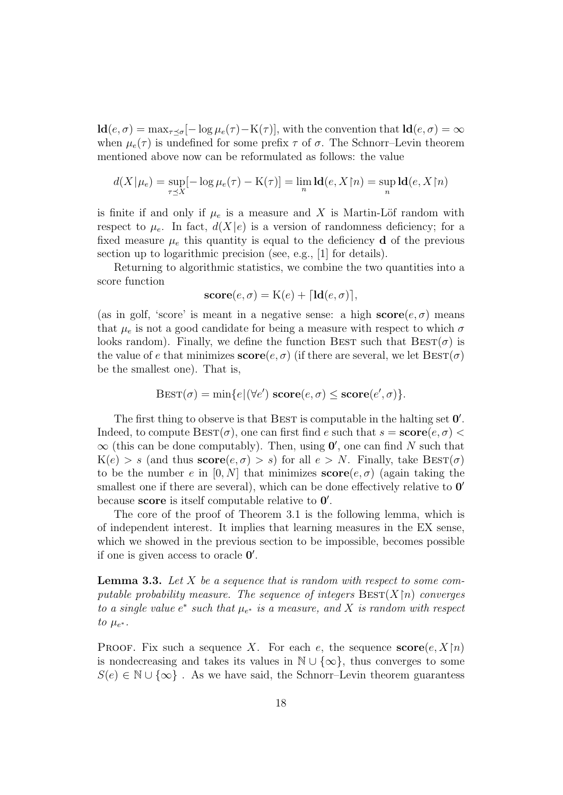$\mathbf{Id}(e,\sigma) = \max_{\tau \prec \sigma} [-\log \mu_e(\tau) - \mathbf{K}(\tau)],$  with the convention that  $\mathbf{Id}(e,\sigma) = \infty$ when  $\mu_e(\tau)$  is undefined for some prefix  $\tau$  of  $\sigma$ . The Schnorr–Levin theorem mentioned above now can be reformulated as follows: the value

$$
d(X|\mu_e) = \sup_{\tau \preceq X} [-\log \mu_e(\tau) - \mathcal{K}(\tau)] = \lim_n \mathbf{Id}(e, X \upharpoonright n) = \sup_n \mathbf{Id}(e, X \upharpoonright n)
$$

is finite if and only if  $\mu_e$  is a measure and X is Martin-Löf random with respect to  $\mu_e$ . In fact,  $d(X|e)$  is a version of randomness deficiency; for a fixed measure  $\mu_e$  this quantity is equal to the deficiency **d** of the previous section up to logarithmic precision (see, e.g., [1] for details).

Returning to algorithmic statistics, we combine the two quantities into a score function

$$
score(e, \sigma) = K(e) + \lceil \mathbf{ld}(e, \sigma) \rceil,
$$

(as in golf, 'score' is meant in a negative sense: a high  $score(e, \sigma)$  means that  $\mu_e$  is not a good candidate for being a measure with respect to which  $\sigma$ looks random). Finally, we define the function BEST such that  $\text{BEST}(\sigma)$  is the value of e that minimizes  $score(e, \sigma)$  (if there are several, we let  $\text{BEST}(\sigma)$ be the smallest one). That is,

$$
Best(\sigma) = \min\{e | (\forall e') \; \mathbf{score}(e, \sigma) \leq \mathbf{score}(e', \sigma) \}.
$$

The first thing to observe is that BEST is computable in the halting set  $0'$ . Indeed, to compute  $\text{BEST}(\sigma)$ , one can first find e such that  $s = \text{score}(e, \sigma)$  $\infty$  (this can be done computably). Then, using  $0'$ , one can find N such that  $K(e) > s$  (and thus  $score(e, \sigma) > s$ ) for all  $e > N$ . Finally, take  $\text{BEST}(\sigma)$ to be the number e in [0, N] that minimizes  $score(e, \sigma)$  (again taking the smallest one if there are several), which can be done effectively relative to  $0'$ because **score** is itself computable relative to  $0'$ .

The core of the proof of Theorem 3.1 is the following lemma, which is of independent interest. It implies that learning measures in the EX sense, which we showed in the previous section to be impossible, becomes possible if one is given access to oracle  $0'$ .

**Lemma 3.3.** Let X be a sequence that is random with respect to some computable probability measure. The sequence of integers  $\text{Bes}_{X}(X|n)$  converges to a single value  $e^*$  such that  $\mu_{e^*}$  is a measure, and X is random with respect to  $\mu_{e^*}$ .

**PROOF.** Fix such a sequence X. For each e, the sequence  $score(e, X[n])$ is nondecreasing and takes its values in  $\mathbb{N} \cup \{\infty\}$ , thus converges to some  $S(e) \in \mathbb{N} \cup \{\infty\}$ . As we have said, the Schnorr–Levin theorem guarantess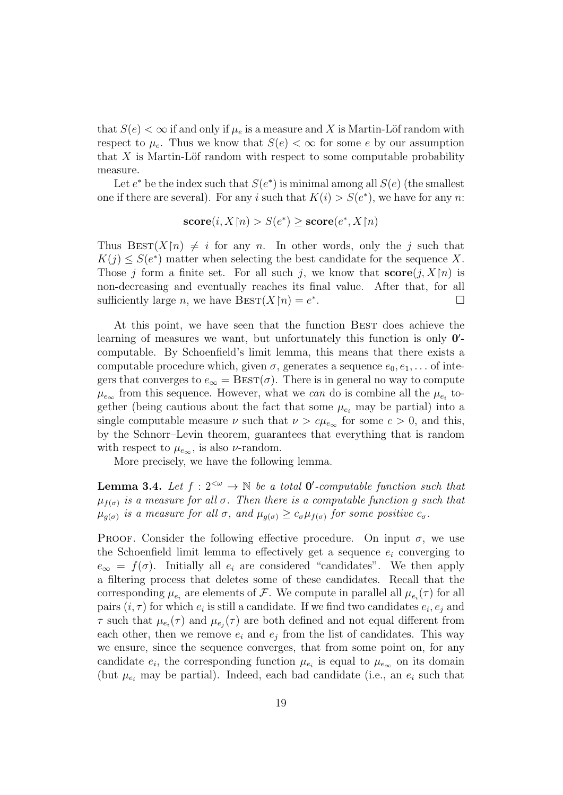that  $S(e) < \infty$  if and only if  $\mu_e$  is a measure and X is Martin-Löf random with respect to  $\mu_e$ . Thus we know that  $S(e) < \infty$  for some e by our assumption that  $X$  is Martin-Löf random with respect to some computable probability measure.

Let  $e^*$  be the index such that  $S(e^*)$  is minimal among all  $S(e)$  (the smallest one if there are several). For any i such that  $K(i) > S(e^*)$ , we have for any n:

$$
score(i, X \upharpoonright n) > S(e^*) \geq score(e^*, X \upharpoonright n)
$$

Thus  $\text{BEST}(X[n) \neq i$  for any n. In other words, only the j such that  $K(j) \leq S(e^*)$  matter when selecting the best candidate for the sequence X. Those j form a finite set. For all such j, we know that  $score(j, X[n])$  is non-decreasing and eventually reaches its final value. After that, for all sufficiently large *n*, we have  $\text{BEST}(X \restriction n) = e^*$ .

At this point, we have seen that the function BEST does achieve the learning of measures we want, but unfortunately this function is only  $0'$ computable. By Schoenfield's limit lemma, this means that there exists a computable procedure which, given  $\sigma$ , generates a sequence  $e_0, e_1, \ldots$  of integers that converges to  $e_{\infty} = \text{BEST}(\sigma)$ . There is in general no way to compute  $\mu_{e_{\infty}}$  from this sequence. However, what we can do is combine all the  $\mu_{e_i}$  together (being cautious about the fact that some  $\mu_{e_i}$  may be partial) into a single computable measure  $\nu$  such that  $\nu > c\mu_{e_{\infty}}$  for some  $c > 0$ , and this, by the Schnorr–Levin theorem, guarantees that everything that is random with respect to  $\mu_{e_{\infty}}$ , is also *v*-random.

More precisely, we have the following lemma.

**Lemma 3.4.** Let  $f: 2^{<\omega} \to \mathbb{N}$  be a total **0'**-computable function such that  $\mu_{f(\sigma)}$  is a measure for all  $\sigma$ . Then there is a computable function g such that  $\mu_{g(\sigma)}$  is a measure for all  $\sigma$ , and  $\mu_{g(\sigma)} \geq c_{\sigma} \mu_{f(\sigma)}$  for some positive  $c_{\sigma}$ .

PROOF. Consider the following effective procedure. On input  $\sigma$ , we use the Schoenfield limit lemma to effectively get a sequence  $e_i$  converging to  $e_{\infty} = f(\sigma)$ . Initially all  $e_i$  are considered "candidates". We then apply a filtering process that deletes some of these candidates. Recall that the corresponding  $\mu_{e_i}$  are elements of F. We compute in parallel all  $\mu_{e_i}(\tau)$  for all pairs  $(i, \tau)$  for which  $e_i$  is still a candidate. If we find two candidates  $e_i, e_j$  and  $\tau$  such that  $\mu_{e_i}(\tau)$  and  $\mu_{e_j}(\tau)$  are both defined and not equal different from each other, then we remove  $e_i$  and  $e_j$  from the list of candidates. This way we ensure, since the sequence converges, that from some point on, for any candidate  $e_i$ , the corresponding function  $\mu_{e_i}$  is equal to  $\mu_{e_\infty}$  on its domain (but  $\mu_{e_i}$  may be partial). Indeed, each bad candidate (i.e., an  $e_i$  such that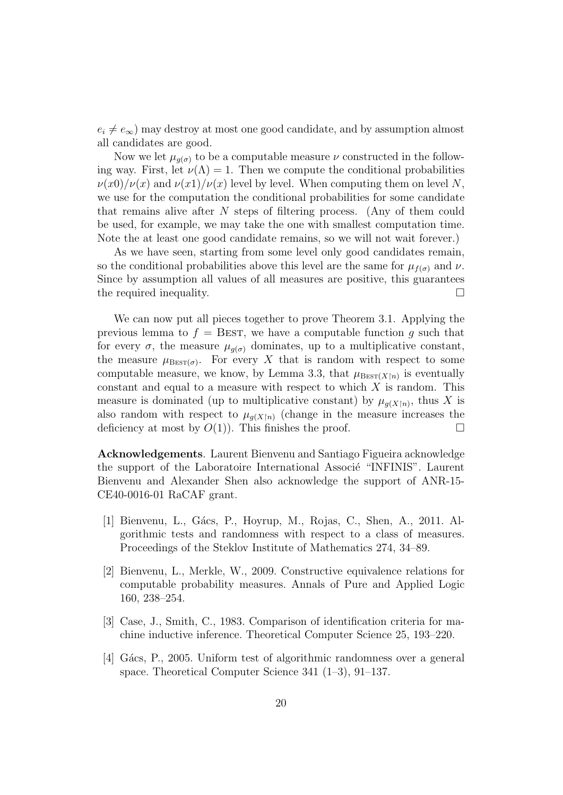$e_i \neq e_\infty$ ) may destroy at most one good candidate, and by assumption almost all candidates are good.

Now we let  $\mu_{q(\sigma)}$  to be a computable measure  $\nu$  constructed in the following way. First, let  $\nu(\Lambda) = 1$ . Then we compute the conditional probabilities  $\nu(x0)/\nu(x)$  and  $\nu(x1)/\nu(x)$  level by level. When computing them on level N, we use for the computation the conditional probabilities for some candidate that remains alive after N steps of filtering process. (Any of them could be used, for example, we may take the one with smallest computation time. Note the at least one good candidate remains, so we will not wait forever.)

As we have seen, starting from some level only good candidates remain, so the conditional probabilities above this level are the same for  $\mu_{f(\sigma)}$  and  $\nu$ . Since by assumption all values of all measures are positive, this guarantees the required inequality.  $\Box$ 

We can now put all pieces together to prove Theorem 3.1. Applying the previous lemma to  $f =$  BEST, we have a computable function g such that for every  $\sigma$ , the measure  $\mu_{q(\sigma)}$  dominates, up to a multiplicative constant, the measure  $\mu_{\text{BEST}(\sigma)}$ . For every X that is random with respect to some computable measure, we know, by Lemma 3.3, that  $\mu_{\text{Best}(X|n)}$  is eventually constant and equal to a measure with respect to which  $X$  is random. This measure is dominated (up to multiplicative constant) by  $\mu_{g(X|n)}$ , thus X is also random with respect to  $\mu_{g(X|n)}$  (change in the measure increases the deficiency at most by  $O(1)$ ). This finishes the proof.

Acknowledgements. Laurent Bienvenu and Santiago Figueira acknowledge the support of the Laboratoire International Associé "INFINIS". Laurent Bienvenu and Alexander Shen also acknowledge the support of ANR-15- CE40-0016-01 RaCAF grant.

- [1] Bienvenu, L., Gács, P., Hoyrup, M., Rojas, C., Shen, A., 2011. Algorithmic tests and randomness with respect to a class of measures. Proceedings of the Steklov Institute of Mathematics 274, 34–89.
- [2] Bienvenu, L., Merkle, W., 2009. Constructive equivalence relations for computable probability measures. Annals of Pure and Applied Logic 160, 238–254.
- [3] Case, J., Smith, C., 1983. Comparison of identification criteria for machine inductive inference. Theoretical Computer Science 25, 193–220.
- [4] G´acs, P., 2005. Uniform test of algorithmic randomness over a general space. Theoretical Computer Science 341 (1–3), 91–137.